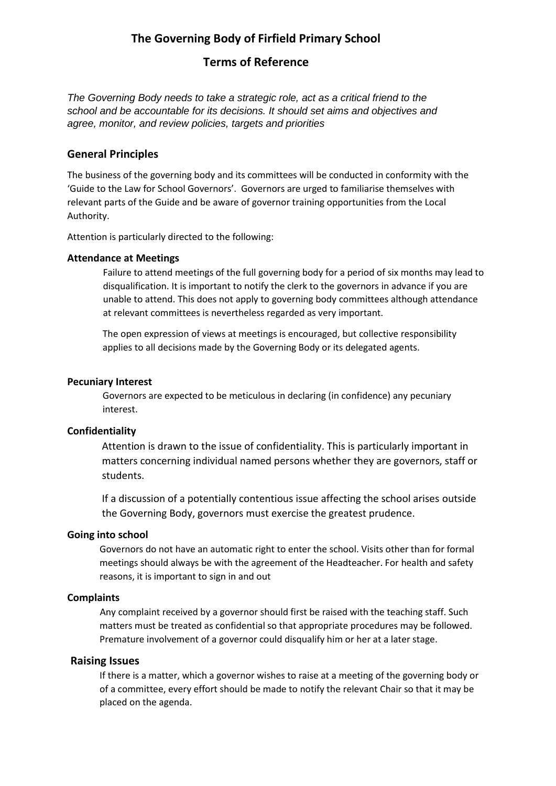# **The Governing Body of Firfield Primary School**

### **Terms of Reference**

*The Governing Body needs to take a strategic role, act as a critical friend to the school and be accountable for its decisions. It should set aims and objectives and agree, monitor, and review policies, targets and priorities*

### **General Principles**

The business of the governing body and its committees will be conducted in conformity with the 'Guide to the Law for School Governors'. Governors are urged to familiarise themselves with relevant parts of the Guide and be aware of governor training opportunities from the Local Authority.

Attention is particularly directed to the following:

### **Attendance at Meetings**

Failure to attend meetings of the full governing body for a period of six months may lead to disqualification. It is important to notify the clerk to the governors in advance if you are unable to attend. This does not apply to governing body committees although attendance at relevant committees is nevertheless regarded as very important.

The open expression of views at meetings is encouraged, but collective responsibility applies to all decisions made by the Governing Body or its delegated agents.

#### **Pecuniary Interest**

Governors are expected to be meticulous in declaring (in confidence) any pecuniary interest.

### **Confidentiality**

Attention is drawn to the issue of confidentiality. This is particularly important in matters concerning individual named persons whether they are governors, staff or students.

If a discussion of a potentially contentious issue affecting the school arises outside the Governing Body, governors must exercise the greatest prudence.

#### **Going into school**

Governors do not have an automatic right to enter the school. Visits other than for formal meetings should always be with the agreement of the Headteacher. For health and safety reasons, it is important to sign in and out

#### **Complaints**

Any complaint received by a governor should first be raised with the teaching staff. Such matters must be treated as confidential so that appropriate procedures may be followed. Premature involvement of a governor could disqualify him or her at a later stage.

### **Raising Issues**

If there is a matter, which a governor wishes to raise at a meeting of the governing body or of a committee, every effort should be made to notify the relevant Chair so that it may be placed on the agenda.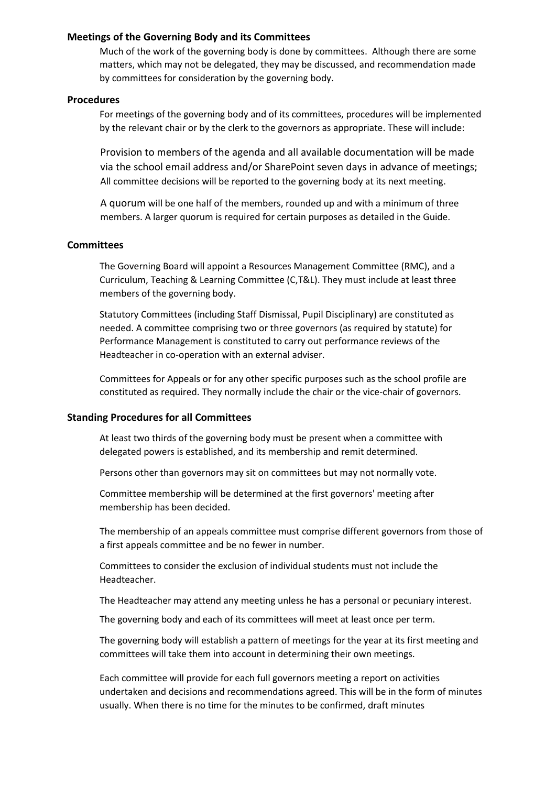### **Meetings of the Governing Body and its Committees**

Much of the work of the governing body is done by committees. Although there are some matters, which may not be delegated, they may be discussed, and recommendation made by committees for consideration by the governing body.

### **Procedures**

For meetings of the governing body and of its committees, procedures will be implemented by the relevant chair or by the clerk to the governors as appropriate. These will include:

Provision to members of the agenda and all available documentation will be made via the school email address and/or SharePoint seven days in advance of meetings; All committee decisions will be reported to the governing body at its next meeting.

A quorum will be one half of the members, rounded up and with a minimum of three members. A larger quorum is required for certain purposes as detailed in the Guide.

### **Committees**

The Governing Board will appoint a Resources Management Committee (RMC), and a Curriculum, Teaching & Learning Committee (C,T&L). They must include at least three members of the governing body.

Statutory Committees (including Staff Dismissal, Pupil Disciplinary) are constituted as needed. A committee comprising two or three governors (as required by statute) for Performance Management is constituted to carry out performance reviews of the Headteacher in co-operation with an external adviser.

Committees for Appeals or for any other specific purposes such as the school profile are constituted as required. They normally include the chair or the vice-chair of governors.

### **Standing Procedures for all Committees**

At least two thirds of the governing body must be present when a committee with delegated powers is established, and its membership and remit determined.

Persons other than governors may sit on committees but may not normally vote.

Committee membership will be determined at the first governors' meeting after membership has been decided.

The membership of an appeals committee must comprise different governors from those of a first appeals committee and be no fewer in number.

Committees to consider the exclusion of individual students must not include the Headteacher.

The Headteacher may attend any meeting unless he has a personal or pecuniary interest.

The governing body and each of its committees will meet at least once per term.

The governing body will establish a pattern of meetings for the year at its first meeting and committees will take them into account in determining their own meetings.

Each committee will provide for each full governors meeting a report on activities undertaken and decisions and recommendations agreed. This will be in the form of minutes usually. When there is no time for the minutes to be confirmed, draft minutes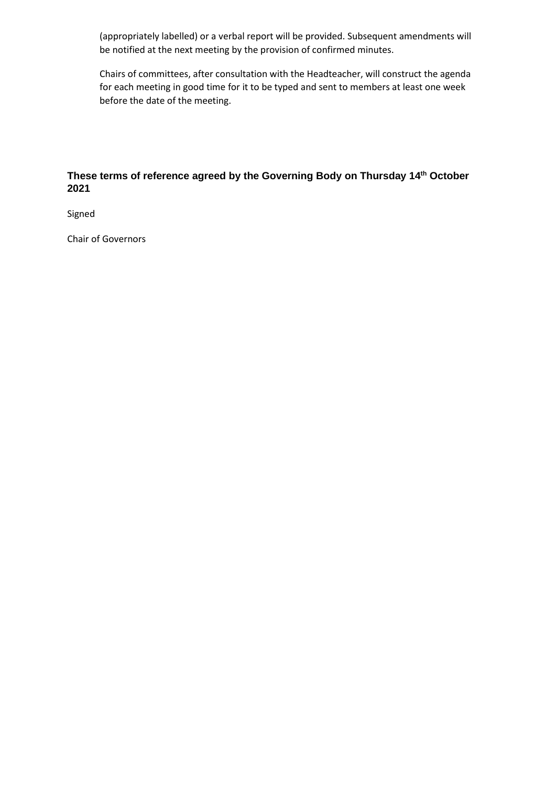(appropriately labelled) or a verbal report will be provided. Subsequent amendments will be notified at the next meeting by the provision of confirmed minutes.

Chairs of committees, after consultation with the Headteacher, will construct the agenda for each meeting in good time for it to be typed and sent to members at least one week before the date of the meeting.

# **These terms of reference agreed by the Governing Body on Thursday 14th October 2021**

Signed

Chair of Governors